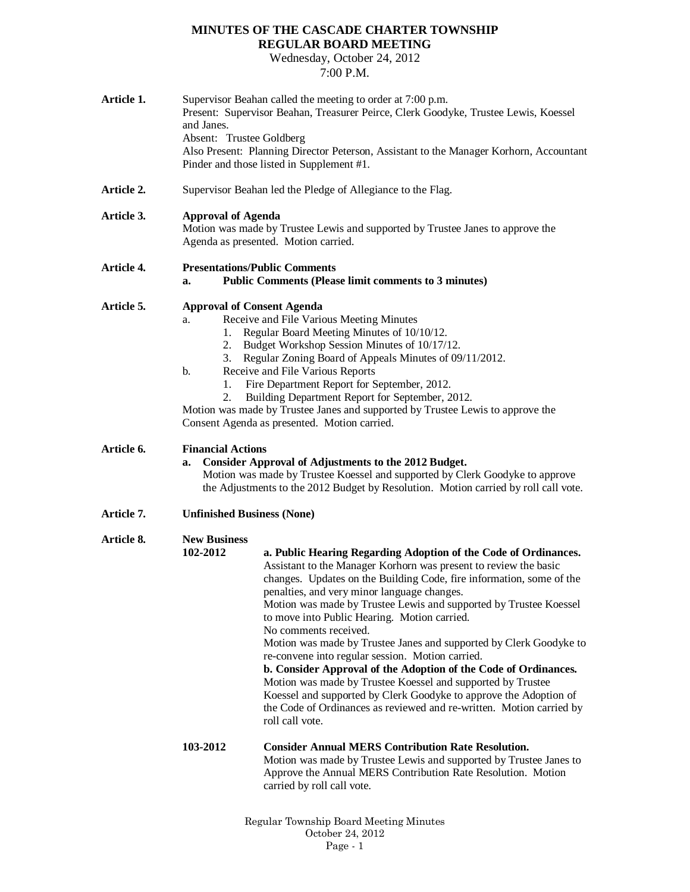## **MINUTES OF THE CASCADE CHARTER TOWNSHIP REGULAR BOARD MEETING**

Wednesday, October 24, 2012 7:00 P.M.

| Article 1. | Supervisor Beahan called the meeting to order at 7:00 p.m.<br>Present: Supervisor Beahan, Treasurer Peirce, Clerk Goodyke, Trustee Lewis, Koessel<br>and Janes.<br>Absent: Trustee Goldberg<br>Also Present: Planning Director Peterson, Assistant to the Manager Korhorn, Accountant<br>Pinder and those listed in Supplement #1. |                                                                                                                                                                                                                                                                                                                                                                                                                                                                                                                                                                                                                                                                                                                                                                                                                                      |  |
|------------|------------------------------------------------------------------------------------------------------------------------------------------------------------------------------------------------------------------------------------------------------------------------------------------------------------------------------------|--------------------------------------------------------------------------------------------------------------------------------------------------------------------------------------------------------------------------------------------------------------------------------------------------------------------------------------------------------------------------------------------------------------------------------------------------------------------------------------------------------------------------------------------------------------------------------------------------------------------------------------------------------------------------------------------------------------------------------------------------------------------------------------------------------------------------------------|--|
| Article 2. | Supervisor Beahan led the Pledge of Allegiance to the Flag.                                                                                                                                                                                                                                                                        |                                                                                                                                                                                                                                                                                                                                                                                                                                                                                                                                                                                                                                                                                                                                                                                                                                      |  |
| Article 3. | <b>Approval of Agenda</b><br>Motion was made by Trustee Lewis and supported by Trustee Janes to approve the<br>Agenda as presented. Motion carried.                                                                                                                                                                                |                                                                                                                                                                                                                                                                                                                                                                                                                                                                                                                                                                                                                                                                                                                                                                                                                                      |  |
| Article 4. | <b>Presentations/Public Comments</b><br><b>Public Comments (Please limit comments to 3 minutes)</b><br>a.                                                                                                                                                                                                                          |                                                                                                                                                                                                                                                                                                                                                                                                                                                                                                                                                                                                                                                                                                                                                                                                                                      |  |
| Article 5. | <b>Approval of Consent Agenda</b><br>a.<br>1.<br>2.<br>3.<br>b.<br>1.<br>2.                                                                                                                                                                                                                                                        | Receive and File Various Meeting Minutes<br>Regular Board Meeting Minutes of 10/10/12.<br>Budget Workshop Session Minutes of 10/17/12.<br>Regular Zoning Board of Appeals Minutes of 09/11/2012.<br>Receive and File Various Reports<br>Fire Department Report for September, 2012.<br>Building Department Report for September, 2012.<br>Motion was made by Trustee Janes and supported by Trustee Lewis to approve the<br>Consent Agenda as presented. Motion carried.                                                                                                                                                                                                                                                                                                                                                             |  |
| Article 6. | <b>Financial Actions</b><br><b>Consider Approval of Adjustments to the 2012 Budget.</b><br>a.<br>Motion was made by Trustee Koessel and supported by Clerk Goodyke to approve<br>the Adjustments to the 2012 Budget by Resolution. Motion carried by roll call vote.                                                               |                                                                                                                                                                                                                                                                                                                                                                                                                                                                                                                                                                                                                                                                                                                                                                                                                                      |  |
| Article 7. | <b>Unfinished Business (None)</b>                                                                                                                                                                                                                                                                                                  |                                                                                                                                                                                                                                                                                                                                                                                                                                                                                                                                                                                                                                                                                                                                                                                                                                      |  |
| Article 8. | <b>New Business</b><br>102-2012                                                                                                                                                                                                                                                                                                    | a. Public Hearing Regarding Adoption of the Code of Ordinances.<br>Assistant to the Manager Korhorn was present to review the basic<br>changes. Updates on the Building Code, fire information, some of the<br>penalties, and very minor language changes.<br>Motion was made by Trustee Lewis and supported by Trustee Koessel<br>to move into Public Hearing. Motion carried.<br>No comments received.<br>Motion was made by Trustee Janes and supported by Clerk Goodyke to<br>re-convene into regular session. Motion carried.<br>b. Consider Approval of the Adoption of the Code of Ordinances.<br>Motion was made by Trustee Koessel and supported by Trustee<br>Koessel and supported by Clerk Goodyke to approve the Adoption of<br>the Code of Ordinances as reviewed and re-written. Motion carried by<br>roll call vote. |  |
|            | 103-2012                                                                                                                                                                                                                                                                                                                           | <b>Consider Annual MERS Contribution Rate Resolution.</b><br>Motion was made by Trustee Lewis and supported by Trustee Janes to<br>Approve the Annual MERS Contribution Rate Resolution. Motion<br>carried by roll call vote.                                                                                                                                                                                                                                                                                                                                                                                                                                                                                                                                                                                                        |  |